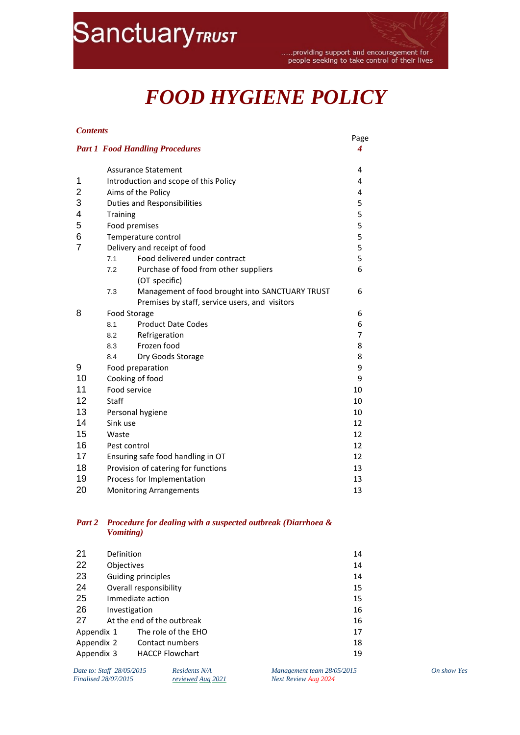# **SanctuaryTRUST**

.....providing support and encouragement for people seeking to take control of their lives

## *FOOD HYGIENE POLICY*

#### *Contents*

|    |                                     |                                                 | Page   |
|----|-------------------------------------|-------------------------------------------------|--------|
|    |                                     | <b>Part 1 Food Handling Procedures</b>          | 4      |
|    |                                     | <b>Assurance Statement</b>                      | 4      |
| 1  |                                     | Introduction and scope of this Policy           |        |
| 2  | Aims of the Policy                  |                                                 | 4      |
| 3  | <b>Duties and Responsibilities</b>  |                                                 | 5      |
| 4  | <b>Training</b>                     |                                                 | 5<br>5 |
| 5  | Food premises                       |                                                 |        |
| 6  | Temperature control                 |                                                 | 5      |
| 7  |                                     | Delivery and receipt of food                    | 5      |
|    | 7.1                                 | Food delivered under contract                   | 5      |
|    | 7.2                                 | Purchase of food from other suppliers           | 6      |
|    |                                     | (OT specific)                                   |        |
|    | 7.3                                 | Management of food brought into SANCTUARY TRUST | 6      |
|    |                                     | Premises by staff, service users, and visitors  |        |
| 8  |                                     | Food Storage                                    |        |
|    | 8.1                                 | <b>Product Date Codes</b>                       | 6      |
|    | 8.2                                 | Refrigeration                                   | 7      |
|    | 8.3                                 | Frozen food                                     | 8      |
|    | 8.4                                 | Dry Goods Storage                               | 8      |
| 9  |                                     | Food preparation                                | 9      |
| 10 |                                     | Cooking of food                                 | 9      |
| 11 |                                     | Food service                                    | 10     |
| 12 | Staff                               |                                                 | 10     |
| 13 |                                     | Personal hygiene                                | 10     |
| 14 | Sink use                            |                                                 | 12     |
| 15 | Waste                               |                                                 | 12     |
| 16 | Pest control                        |                                                 | 12     |
| 17 | Ensuring safe food handling in OT   |                                                 | 12     |
| 18 | Provision of catering for functions |                                                 | 13     |
| 19 | Process for Implementation          |                                                 | 13     |
| 20 | <b>Monitoring Arrangements</b>      |                                                 | 13     |

#### *Part 2 Procedure for dealing with a suspected outbreak (Diarrhoea & Vomiting)*

| 21         | Definition                 | 14 |  |
|------------|----------------------------|----|--|
| 22         | <b>Objectives</b>          | 14 |  |
| 23         | Guiding principles         |    |  |
| 24         | Overall responsibility     | 15 |  |
| 25         | Immediate action           |    |  |
| 26         | Investigation              | 16 |  |
| 27         | At the end of the outbreak | 16 |  |
| Appendix 1 | The role of the EHO        | 17 |  |
| Appendix 2 | Contact numbers            | 18 |  |
| Appendix 3 | <b>HACCP Flowchart</b>     | 19 |  |

| Date to: Staff 28/05/2015   |  |
|-----------------------------|--|
| <b>Finalised 28/07/2015</b> |  |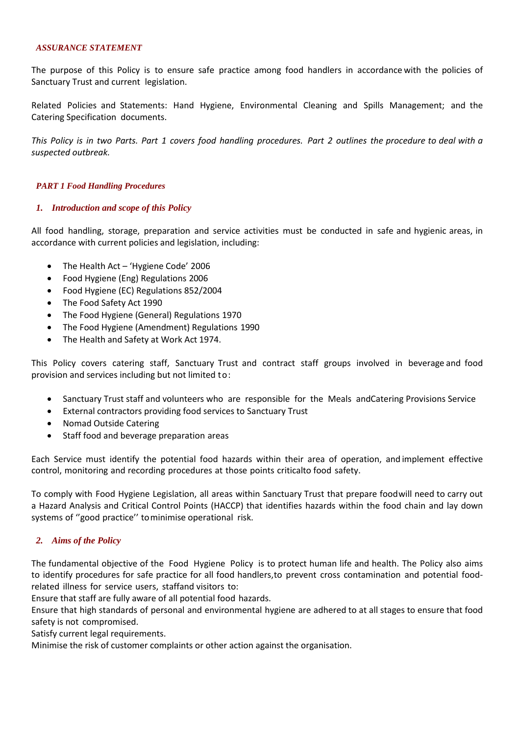#### *ASSURANCE STATEMENT*

The purpose of this Policy is to ensure safe practice among food handlers in accordance with the policies of Sanctuary Trust and current legislation.

Related Policies and Statements: Hand Hygiene, Environmental Cleaning and Spills Management; and the Catering Specification documents.

This Policy is in two Parts. Part 1 covers food handling procedures. Part 2 outlines the procedure to deal with a *suspected outbreak.*

#### <span id="page-1-0"></span>*PART 1 Food Handling Procedures*

#### <span id="page-1-1"></span>*1. Introduction and scope of this Policy*

All food handling, storage, preparation and service activities must be conducted in safe and hygienic areas, in accordance with current policies and legislation, including:

- The Health Act 'Hygiene Code' 2006
- Food Hygiene (Eng) Regulations 2006
- Food Hygiene (EC) Regulations 852/2004
- The Food Safety Act 1990
- The Food Hygiene (General) Regulations 1970
- The Food Hygiene (Amendment) Regulations 1990
- The Health and Safety at Work Act 1974.

This Policy covers catering staff, Sanctuary Trust and contract staff groups involved in beverage and food provision and services including but not limited to:

- Sanctuary Trust staff and volunteers who are responsible for the Meals andCatering Provisions Service
- External contractors providing food services to Sanctuary Trust
- Nomad Outside Catering
- Staff food and beverage preparation areas

Each Service must identify the potential food hazards within their area of operation, and implement effective control, monitoring and recording procedures at those points criticalto food safety.

To comply with Food Hygiene Legislation, all areas within Sanctuary Trust that prepare food will need to carry out a Hazard Analysis and Critical Control Points (HACCP) that identifies hazards within the food chain and lay down systems of ''good practice'' tominimise operational risk.

#### <span id="page-1-2"></span>*2. Aims of the Policy*

The fundamental objective of the Food Hygiene Policy is to protect human life and health. The Policy also aims to identify procedures for safe practice for all food handlers,to prevent cross contamination and potential foodrelated illness for service users, staffand visitors to:

Ensure that staff are fully aware of all potential food hazards.

Ensure that high standards of personal and environmental hygiene are adhered to at all stages to ensure that food safety is not compromised.

Satisfy current legal requirements.

Minimise the risk of customer complaints or other action against the organisation.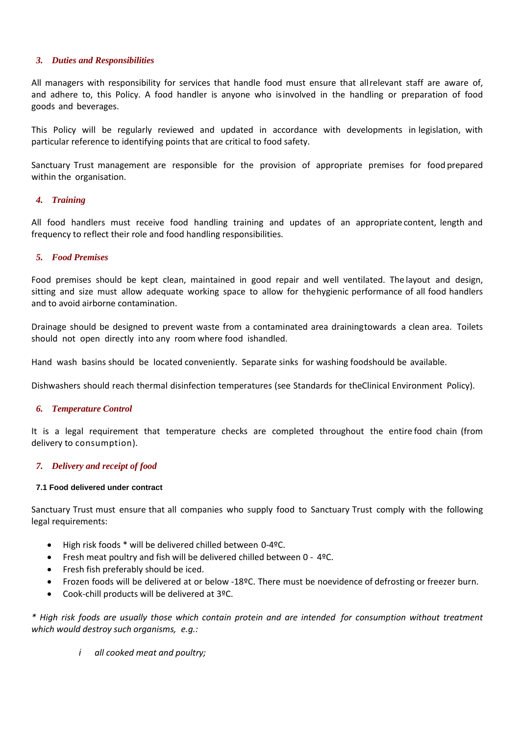#### <span id="page-2-0"></span>*3. Duties and Responsibilities*

All managers with responsibility for services that handle food must ensure that allrelevant staff are aware of, and adhere to, this Policy. A food handler is anyone who isinvolved in the handling or preparation of food goods and beverages.

This Policy will be regularly reviewed and updated in accordance with developments in legislation, with particular reference to identifying points that are critical to food safety.

Sanctuary Trust management are responsible for the provision of appropriate premises for food prepared within the organisation.

#### <span id="page-2-1"></span>*4. Training*

All food handlers must receive food handling training and updates of an appropriate content, length and frequency to reflect their role and food handling responsibilities.

#### <span id="page-2-2"></span>*5. Food Premises*

Food premises should be kept clean, maintained in good repair and well ventilated. The layout and design, sitting and size must allow adequate working space to allow for thehygienic performance of all food handlers and to avoid airborne contamination.

Drainage should be designed to prevent waste from a contaminated area drainingtowards a clean area. Toilets should not open directly into any room where food ishandled.

Hand wash basins should be located conveniently. Separate sinks for washing foodshould be available.

Dishwashers should reach thermal disinfection temperatures (see Standards for theClinical Environment Policy).

#### <span id="page-2-3"></span>*6. Temperature Control*

It is a legal requirement that temperature checks are completed throughout the entire food chain (from delivery to consumption).

#### <span id="page-2-4"></span>*7. Delivery and receipt of food*

#### <span id="page-2-5"></span>**7.1 Food delivered under contract**

Sanctuary Trust must ensure that all companies who supply food to Sanctuary Trust comply with the following legal requirements:

- High risk foods \* will be delivered chilled between 0-4ºC.
- Fresh meat poultry and fish will be delivered chilled between 0 4ºC.
- Fresh fish preferably should be iced.
- Frozen foods will be delivered at or below -18ºC. There must be noevidence of defrosting or freezer burn.
- Cook-chill products will be delivered at 3ºC.

*\* High risk foods are usually those which contain protein and are intended for consumption without treatment which would destroy such organisms, e.g.:*

*i all cooked meat and poultry;*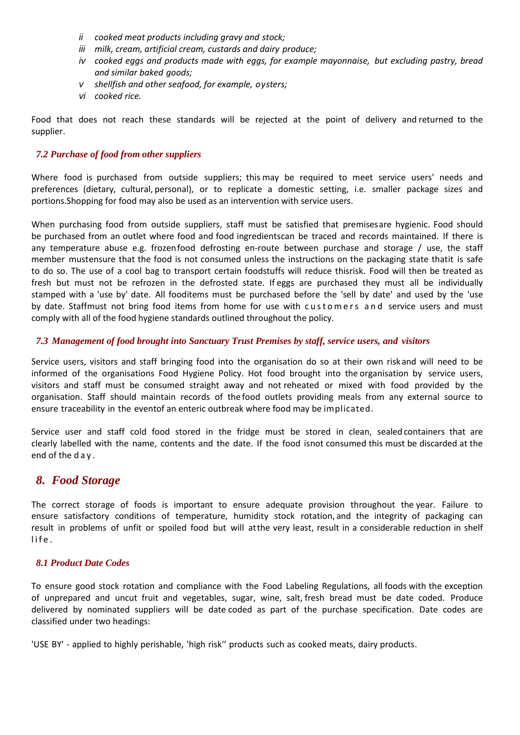- *ii cooked meat products including gravy and stock;*
- *iii milk, cream, artificial cream, custards and dairy produce;*
- *iv cooked eggs and products made with eggs, for example mayonnaise, but excluding pastry, bread and similar baked goods;*
- *v shellfish and other seafood, for example, oysters;*
- *vi cooked rice.*

Food that does not reach these standards will be rejected at the point of delivery and returned to the supplier.

#### *7.2 Purchase of food from other suppliers*

Where food is purchased from outside suppliers; this may be required to meet service users' needs and preferences (dietary, cultural, personal), or to replicate a domestic setting, i.e. smaller package sizes and portions.Shopping for food may also be used as an intervention with service users.

When purchasing food from outside suppliers, staff must be satisfied that premisesare hygienic. Food should be purchased from an outlet where food and food ingredientscan be traced and records maintained. If there is any temperature abuse e.g. frozenfood defrosting en-route between purchase and storage / use, the staff member mustensure that the food is not consumed unless the instructions on the packaging state thatit is safe to do so. The use of a cool bag to transport certain foodstuffs will reduce thisrisk. Food will then be treated as fresh but must not be refrozen in the defrosted state. If eggs are purchased they must all be individually stamped with a 'use by' date. All fooditems must be purchased before the 'sell by date' and used by the 'use by date. Staffmust not bring food items from home for use with customers and service users and must comply with all of the food hygiene standards outlined throughout the policy.

#### *7.3 Management of food brought into Sanctuary Trust Premises by staff, service users, and visitors*

Service users, visitors and staff bringing food into the organisation do so at their own riskand will need to be informed of the organisations Food Hygiene Policy. Hot food brought into the organisation by service users, visitors and staff must be consumed straight away and not reheated or mixed with food provided by the organisation. Staff should maintain records of the food outlets providing meals from any external source to ensure traceability in the eventof an enteric outbreak where food may be implicated.

Service user and staff cold food stored in the fridge must be stored in clean, sealedcontainers that are clearly labelled with the name, contents and the date. If the food isnot consumed this must be discarded at the end of the d a y .

## <span id="page-3-0"></span>*8. Food Storage*

The correct storage of foods is important to ensure adequate provision throughout the year. Failure to ensure satisfactory conditions of temperature, humidity stock rotation, and the integrity of packaging can result in problems of unfit or spoiled food but will atthe very least, result in a considerable reduction in shelf life.

#### <span id="page-3-1"></span>*8.1 Product Date Codes*

To ensure good stock rotation and compliance with the Food Labeling Regulations, all foods with the exception of unprepared and uncut fruit and vegetables, sugar, wine, salt, fresh bread must be date coded. Produce delivered by nominated suppliers will be date coded as part of the purchase specification. Date codes are classified under two headings:

'USE BY' - applied to highly perishable, 'high risk'' products such as cooked meats, dairy products.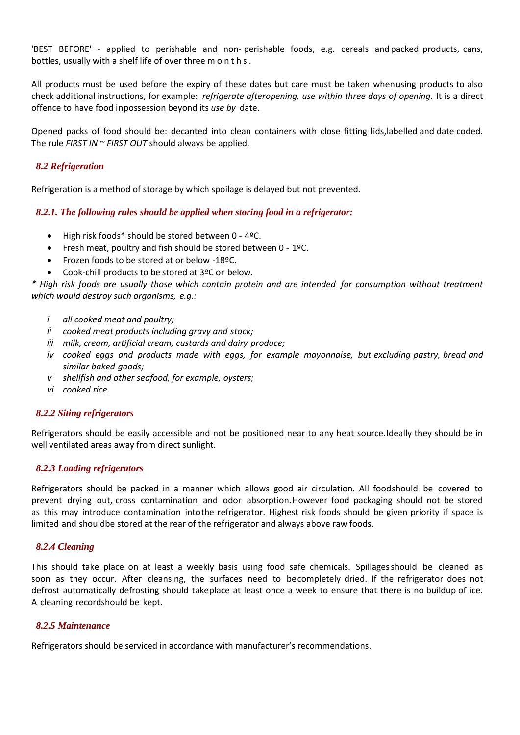'BEST BEFORE' - applied to perishable and non- perishable foods, e.g. cereals and packed products, cans, bottles, usually with a shelf life of over three m o n t h s .

All products must be used before the expiry of these dates but care must be taken whenusing products to also check additional instructions, for example: *refrigerate afteropening, use within three days of opening.* It is a direct offence to have food inpossession beyond its *use by* date.

Opened packs of food should be: decanted into clean containers with close fitting lids,labelled and date coded. The rule *FIRST IN ~ FIRST OUT* should always be applied.

#### <span id="page-4-0"></span>*8.2 Refrigeration*

Refrigeration is a method of storage by which spoilage is delayed but not prevented.

#### *8.2.1. The following rules should be applied when storing food in a refrigerator:*

- High risk foods\* should be stored between 0 4ºC.
- Fresh meat, poultry and fish should be stored between 0 1ºC.
- Frozen foods to be stored at or below -18ºC.
- Cook-chill products to be stored at 3ºC or below.

*\* High risk foods are usually those which contain protein and are intended for consumption without treatment which would destroy such organisms, e.g.:*

- *i all cooked meat and poultry;*
- *ii cooked meat products including gravy and stock;*
- *iii milk, cream, artificial cream, custards and dairy produce;*
- *iv cooked eggs and products made with eggs, for example mayonnaise, but excluding pastry, bread and similar baked goods;*
- *v shellfish and other seafood, for example, oysters;*
- *vi cooked rice.*

#### *8.2.2 Siting refrigerators*

Refrigerators should be easily accessible and not be positioned near to any heat source.Ideally they should be in well ventilated areas away from direct sunlight.

#### *8.2.3 Loading refrigerators*

Refrigerators should be packed in a manner which allows good air circulation. All foodshould be covered to prevent drying out, cross contamination and odor absorption.However food packaging should not be stored as this may introduce contamination intothe refrigerator. Highest risk foods should be given priority if space is limited and shouldbe stored at the rear of the refrigerator and always above raw foods.

#### *8.2.4 Cleaning*

This should take place on at least a weekly basis using food safe chemicals. Spillagesshould be cleaned as soon as they occur. After cleansing, the surfaces need to becompletely dried. If the refrigerator does not defrost automatically defrosting should takeplace at least once a week to ensure that there is no buildup of ice. A cleaning recordshould be kept.

#### *8.2.5 Maintenance*

Refrigerators should be serviced in accordance with manufacturer's recommendations.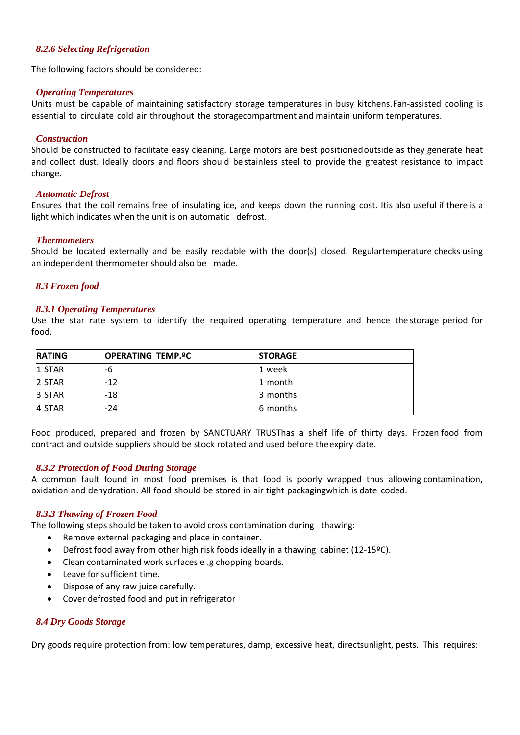#### *8.2.6 Selecting Refrigeration*

The following factors should be considered:

#### *Operating Temperatures*

Units must be capable of maintaining satisfactory storage temperatures in busy kitchens.Fan-assisted cooling is essential to circulate cold air throughout the storagecompartment and maintain uniform temperatures.

#### *Construction*

Should be constructed to facilitate easy cleaning. Large motors are best positionedoutside as they generate heat and collect dust. Ideally doors and floors should be stainless steel to provide the greatest resistance to impact change.

#### *Automatic Defrost*

Ensures that the coil remains free of insulating ice, and keeps down the running cost. Itis also useful if there is a light which indicates when the unit is on automatic defrost.

#### *Thermometers*

Should be located externally and be easily readable with the door(s) closed. Regulartemperature checks using an independent thermometer should also be made.

#### <span id="page-5-0"></span>*8.3 Frozen food*

#### *8.3.1 Operating Temperatures*

Use the star rate system to identify the required operating temperature and hence the storage period for food.

| <b>RATING</b>  | <b>OPERATING TEMP.ºC</b> | <b>STORAGE</b> |  |
|----------------|--------------------------|----------------|--|
| <b>11 STAR</b> | -6                       | 1 week         |  |
| 2 STAR         | $-12$                    | 1 month        |  |
| 3 STAR         | $-18$                    | 3 months       |  |
| 4 STAR         | $-24$                    | 6 months       |  |

Food produced, prepared and frozen by SANCTUARY TRUSThas a shelf life of thirty days. Frozen food from contract and outside suppliers should be stock rotated and used before theexpiry date.

#### *8.3.2 Protection of Food During Storage*

A common fault found in most food premises is that food is poorly wrapped thus allowing contamination, oxidation and dehydration. All food should be stored in air tight packagingwhich is date coded.

#### *8.3.3 Thawing of Frozen Food*

The following steps should be taken to avoid cross contamination during thawing:

- Remove external packaging and place in container.
- Defrost food away from other high risk foods ideally in a thawing cabinet (12-15ºC).
- Clean contaminated work surfaces e .g chopping boards.
- Leave for sufficient time.
- Dispose of any raw juice carefully.
- Cover defrosted food and put in refrigerator

#### *8.4 Dry Goods Storage*

Dry goods require protection from: low temperatures, damp, excessive heat, directsunlight, pests. This requires: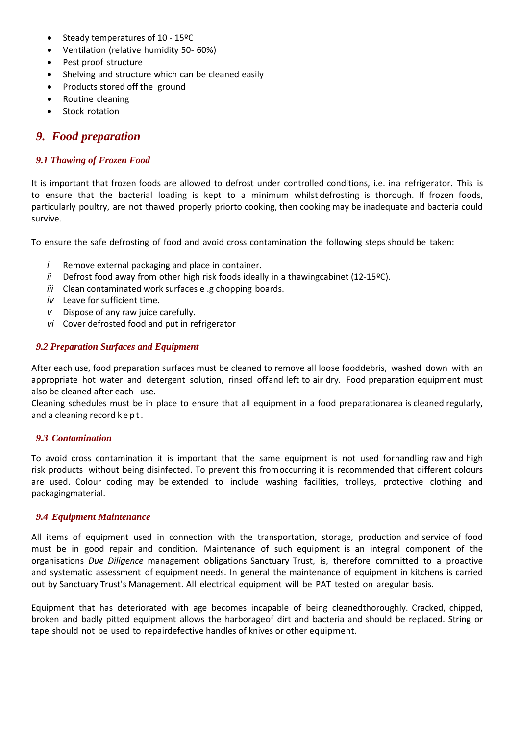- Steady temperatures of 10 15ºC
- Ventilation (relative humidity 50- 60%)
- Pest proof structure
- Shelving and structure which can be cleaned easily
- Products stored off the ground
- Routine cleaning
- Stock rotation

## <span id="page-6-0"></span>*9. Food preparation*

#### *9.1 Thawing of Frozen Food*

It is important that frozen foods are allowed to defrost under controlled conditions, i.e. ina refrigerator. This is to ensure that the bacterial loading is kept to a minimum whilst defrosting is thorough. If frozen foods, particularly poultry, are not thawed properly priorto cooking, then cooking may be inadequate and bacteria could survive.

To ensure the safe defrosting of food and avoid cross contamination the following steps should be taken:

- *i* Remove external packaging and place in container.
- *ii* Defrost food away from other high risk foods ideally in a thawingcabinet (12-15°C).
- *iii* Clean contaminated work surfaces e .g chopping boards.
- *iv* Leave for sufficient time.
- *v* Dispose of any raw juice carefully.
- *vi* Cover defrosted food and put in refrigerator

#### *9.2 Preparation Surfaces and Equipment*

After each use, food preparation surfaces must be cleaned to remove all loose fooddebris, washed down with an appropriate hot water and detergent solution, rinsed offand left to air dry. Food preparation equipment must also be cleaned after each use.

Cleaning schedules must be in place to ensure that all equipment in a food preparationarea is cleaned regularly, and a cleaning record kept.

#### *9.3 Contamination*

To avoid cross contamination it is important that the same equipment is not used forhandling raw and high risk products without being disinfected. To prevent this fromoccurring it is recommended that different colours are used. Colour coding may be extended to include washing facilities, trolleys, protective clothing and packagingmaterial.

#### *9.4 Equipment Maintenance*

All items of equipment used in connection with the transportation, storage, production and service of food must be in good repair and condition. Maintenance of such equipment is an integral component of the organisations *Due Diligence* management obligations. Sanctuary Trust, is, therefore committed to a proactive and systematic assessment of equipment needs. In general the maintenance of equipment in kitchens is carried out by Sanctuary Trust's Management. All electrical equipment will be PAT tested on aregular basis.

Equipment that has deteriorated with age becomes incapable of being cleanedthoroughly. Cracked, chipped, broken and badly pitted equipment allows the harborageof dirt and bacteria and should be replaced. String or tape should not be used to repairdefective handles of knives or other equipment.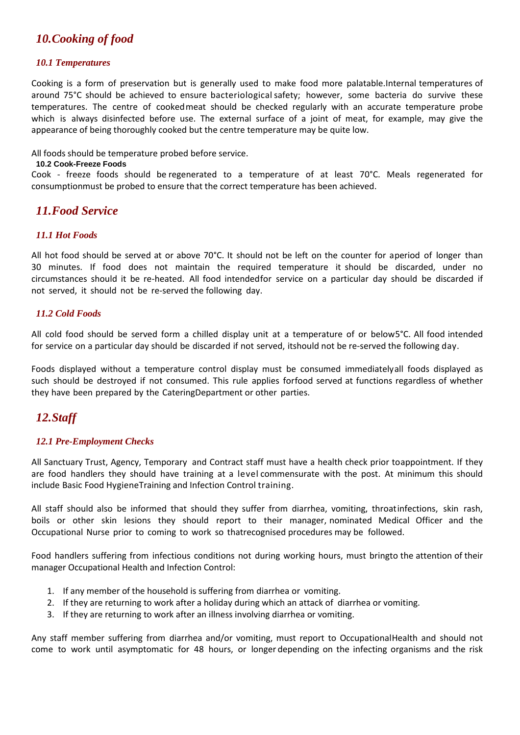## <span id="page-7-0"></span>*10.Cooking of food*

#### *10.1 Temperatures*

Cooking is a form of preservation but is generally used to make food more palatable.Internal temperatures of around 75°C should be achieved to ensure bacteriologicalsafety; however, some bacteria do survive these temperatures. The centre of cookedmeat should be checked regularly with an accurate temperature probe which is always disinfected before use. The external surface of a joint of meat, for example, may give the appearance of being thoroughly cooked but the centre temperature may be quite low.

All foods should be temperature probed before service.

#### **10.2 Cook-Freeze Foods**

Cook - freeze foods should be regenerated to a temperature of at least 70°C. Meals regenerated for consumptionmust be probed to ensure that the correct temperature has been achieved.

## <span id="page-7-1"></span>*11.Food Service*

#### *11.1 Hot Foods*

All hot food should be served at or above 70°C. It should not be left on the counter for aperiod of longer than 30 minutes. If food does not maintain the required temperature it should be discarded, under no circumstances should it be re-heated. All food intendedfor service on a particular day should be discarded if not served, it should not be re-served the following day.

#### *11.2 Cold Foods*

All cold food should be served form a chilled display unit at a temperature of or below5°C. All food intended for service on a particular day should be discarded if not served, itshould not be re-served the following day.

Foods displayed without a temperature control display must be consumed immediatelyall foods displayed as such should be destroyed if not consumed. This rule applies forfood served at functions regardless of whether they have been prepared by the CateringDepartment or other parties.

## <span id="page-7-2"></span>*12.Staff*

#### *12.1 Pre-Employment Checks*

All Sanctuary Trust, Agency, Temporary and Contract staff must have a health check prior toappointment. If they are food handlers they should have training at a level commensurate with the post. At minimum this should include Basic Food HygieneTraining and Infection Control training.

All staff should also be informed that should they suffer from diarrhea, vomiting, throatinfections, skin rash, boils or other skin lesions they should report to their manager, nominated Medical Officer and the Occupational Nurse prior to coming to work so thatrecognised procedures may be followed.

Food handlers suffering from infectious conditions not during working hours, must bringto the attention of their manager Occupational Health and Infection Control:

- 1. If any member of the household is suffering from diarrhea or vomiting.
- 2. If they are returning to work after a holiday during which an attack of diarrhea or vomiting.
- 3. If they are returning to work after an illness involving diarrhea or vomiting.

Any staff member suffering from diarrhea and/or vomiting, must report to OccupationalHealth and should not come to work until asymptomatic for 48 hours, or longer depending on the infecting organisms and the risk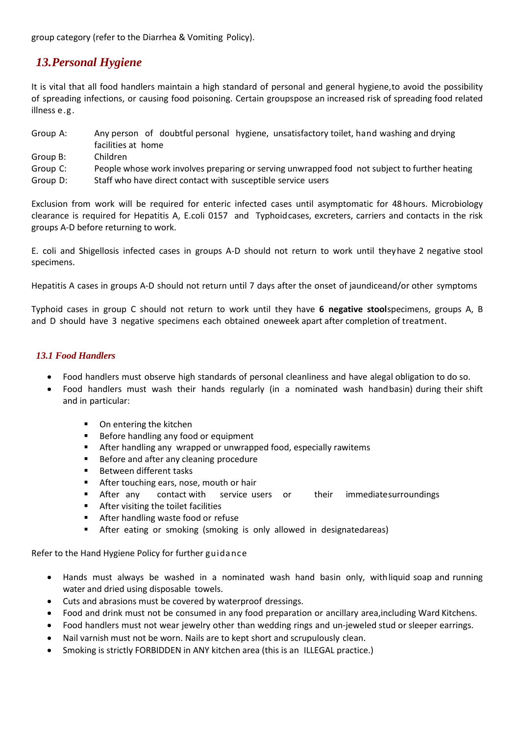group category (refer to the Diarrhea & Vomiting Policy).

## <span id="page-8-0"></span>*13.Personal Hygiene*

It is vital that all food handlers maintain a high standard of personal and general hygiene,to avoid the possibility of spreading infections, or causing food poisoning. Certain groupspose an increased risk of spreading food related illness e.g.

- Group A: Any person of doubtful personal hygiene, unsatisfactory toilet, hand washing and drying facilities at home
- Group B: Children
- Group C: People whose work involves preparing or serving unwrapped food not subject to further heating
- Group D: Staff who have direct contact with susceptible service users

Exclusion from work will be required for enteric infected cases until asymptomatic for 48hours. Microbiology clearance is required for Hepatitis A, E.coli 0157 and Typhoidcases, excreters, carriers and contacts in the risk groups A-D before returning to work.

E. coli and Shigellosis infected cases in groups A-D should not return to work until theyhave 2 negative stool specimens.

Hepatitis A cases in groups A-D should not return until 7 days after the onset of jaundiceand/or other symptoms

Typhoid cases in group C should not return to work until they have **6 negative stool**specimens, groups A, B and D should have 3 negative specimens each obtained oneweek apart after completion of treatment.

#### *13.1 Food Handlers*

- Food handlers must observe high standards of personal cleanliness and have alegal obligation to do so.
- Food handlers must wash their hands regularly (in a nominated wash handbasin) during their shift and in particular:
	- On entering the kitchen
	- Before handling any food or equipment
	- After handling any wrapped or unwrapped food, especially rawitems
	- Before and after any cleaning procedure
	- Between different tasks
	- After touching ears, nose, mouth or hair
	- After any contact with service users or their immediatesurroundings
	- After visiting the toilet facilities
	- After handling waste food or refuse
	- After eating or smoking (smoking is only allowed in designatedareas)

Refer to the Hand Hygiene Policy for further guidance

- Hands must always be washed in a nominated wash hand basin only, withliquid soap and running water and dried using disposable towels.
- Cuts and abrasions must be covered by waterproof dressings.
- Food and drink must not be consumed in any food preparation or ancillary area,including Ward Kitchens.
- Food handlers must not wear jewelry other than wedding rings and un-jeweled stud or sleeper earrings.
- Nail varnish must not be worn. Nails are to kept short and scrupulously clean.
- Smoking is strictly FORBIDDEN in ANY kitchen area (this is an ILLEGAL practice.)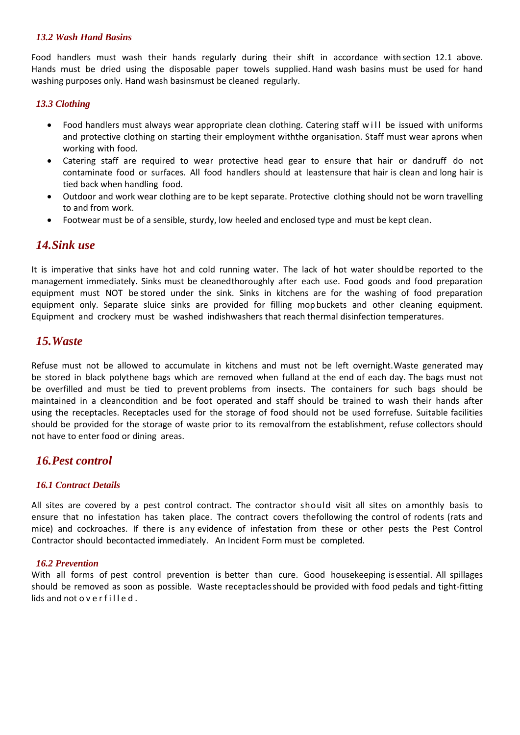#### *13.2 Wash Hand Basins*

Food handlers must wash their hands regularly during their shift in accordance withsection 12.1 above. Hands must be dried using the disposable paper towels supplied. Hand wash basins must be used for hand washing purposes only. Hand wash basinsmust be cleaned regularly.

#### *13.3 Clothing*

- Food handlers must always wear appropriate clean clothing. Catering staff will be issued with uniforms and protective clothing on starting their employment withthe organisation. Staff must wear aprons when working with food.
- Catering staff are required to wear protective head gear to ensure that hair or dandruff do not contaminate food or surfaces. All food handlers should at leastensure that hair is clean and long hair is tied back when handling food.
- Outdoor and work wear clothing are to be kept separate. Protective clothing should not be worn travelling to and from work.
- Footwear must be of a sensible, sturdy, low heeled and enclosed type and must be kept clean.

## <span id="page-9-0"></span>*14.Sink use*

It is imperative that sinks have hot and cold running water. The lack of hot water should be reported to the management immediately. Sinks must be cleanedthoroughly after each use. Food goods and food preparation equipment must NOT be stored under the sink. Sinks in kitchens are for the washing of food preparation equipment only. Separate sluice sinks are provided for filling mop buckets and other cleaning equipment. Equipment and crockery must be washed indishwashers that reach thermal disinfection temperatures.

## <span id="page-9-1"></span>*15.Waste*

Refuse must not be allowed to accumulate in kitchens and must not be left overnight.Waste generated may be stored in black polythene bags which are removed when fulland at the end of each day. The bags must not be overfilled and must be tied to prevent problems from insects. The containers for such bags should be maintained in a cleancondition and be foot operated and staff should be trained to wash their hands after using the receptacles. Receptacles used for the storage of food should not be used forrefuse. Suitable facilities should be provided for the storage of waste prior to its removalfrom the establishment, refuse collectors should not have to enter food or dining areas.

## <span id="page-9-2"></span>*16.Pest control*

#### *16.1 Contract Details*

All sites are covered by a pest control contract. The contractor should visit all sites on amonthly basis to ensure that no infestation has taken place. The contract covers thefollowing the control of rodents (rats and mice) and cockroaches. If there is any evidence of infestation from these or other pests the Pest Control Contractor should becontacted immediately. An Incident Form must be completed.

#### *16.2 Prevention*

With all forms of pest control prevention is better than cure. Good housekeeping isessential. All spillages should be removed as soon as possible. Waste receptaclesshould be provided with food pedals and tight-fitting  $lids$  and not o v e r f illed.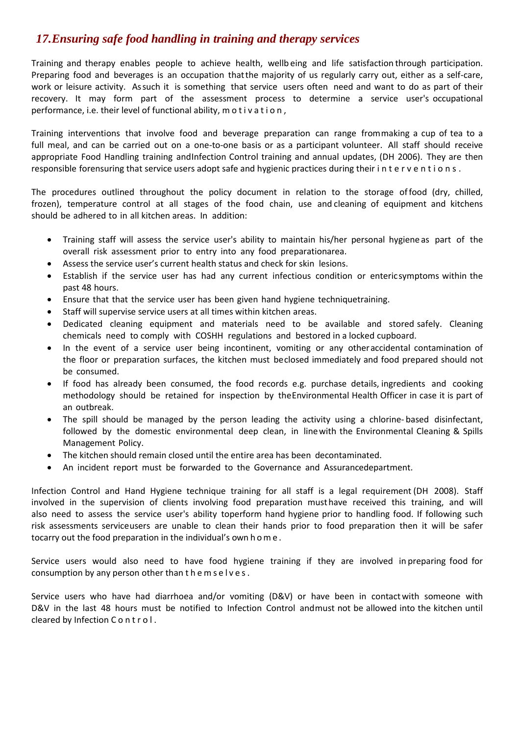## *17.Ensuring safe food handling in training and therapy services*

Training and therapy enables people to achieve health, wellb eing and life satisfaction through participation. Preparing food and beverages is an occupation thatthe majority of us regularly carry out, either as a self-care, work or leisure activity. Assuch it is something that service users often need and want to do as part of their recovery. It may form part of the assessment process to determine a service user's occupational performance, i.e. their level of functional ability, m o t i v a t i o n,

Training interventions that involve food and beverage preparation can range frommaking a cup of tea to a full meal, and can be carried out on a one-to-one basis or as a participant volunteer. All staff should receive appropriate Food Handling training andInfection Control training and annual updates, (DH 2006). They are then responsible forensuring that service users adopt safe and hygienic practices during their interventions.

The procedures outlined throughout the policy document in relation to the storage offood (dry, chilled, frozen), temperature control at all stages of the food chain, use and cleaning of equipment and kitchens should be adhered to in all kitchen areas. In addition:

- Training staff will assess the service user's ability to maintain his/her personal hygiene as part of the overall risk assessment prior to entry into any food preparationarea.
- Assess the service user's current health status and check for skin lesions.
- Establish if the service user has had any current infectious condition or entericsymptoms within the past 48 hours.
- Ensure that that the service user has been given hand hygiene techniquetraining.
- Staff will supervise service users at all times within kitchen areas.
- Dedicated cleaning equipment and materials need to be available and stored safely. Cleaning chemicals need to comply with COSHH regulations and bestored in a locked cupboard.
- In the event of a service user being incontinent, vomiting or any otheraccidental contamination of the floor or preparation surfaces, the kitchen must beclosed immediately and food prepared should not be consumed.
- If food has already been consumed, the food records e.g. purchase details, ingredients and cooking methodology should be retained for inspection by theEnvironmental Health Officer in case it is part of an outbreak.
- The spill should be managed by the person leading the activity using a chlorine- based disinfectant, followed by the domestic environmental deep clean, in linewith the Environmental Cleaning & Spills Management Policy.
- The kitchen should remain closed until the entire area has been decontaminated.
- An incident report must be forwarded to the Governance and Assurancedepartment.

Infection Control and Hand Hygiene technique training for all staff is a legal requirement (DH 2008). Staff involved in the supervision of clients involving food preparation musthave received this training, and will also need to assess the service user's ability toperform hand hygiene prior to handling food. If following such risk assessments serviceusers are unable to clean their hands prior to food preparation then it will be safer tocarry out the food preparation in the individual's own h o m e .

Service users would also need to have food hygiene training if they are involved in preparing food for consumption by any person other than t h e m s e l v e s.

Service users who have had diarrhoea and/or vomiting (D&V) or have been in contactwith someone with D&V in the last 48 hours must be notified to Infection Control andmust not be allowed into the kitchen until cleared by Infection C o n t r o l .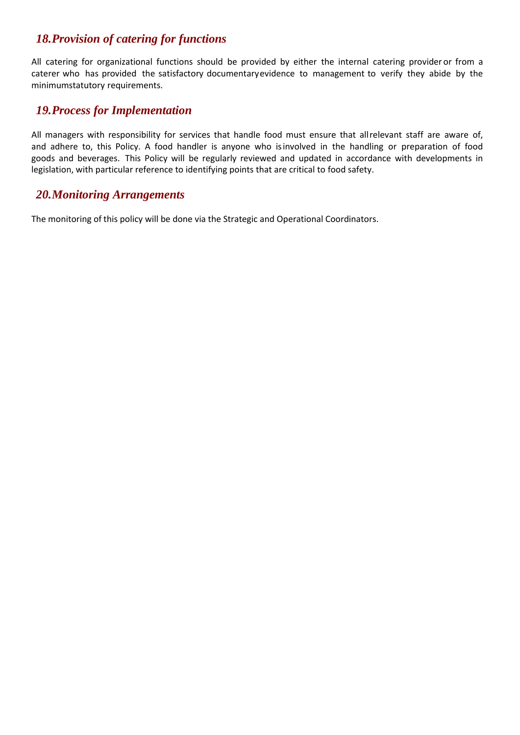## <span id="page-11-0"></span>*18.Provision of catering for functions*

All catering for organizational functions should be provided by either the internal catering provider or from a caterer who has provided the satisfactory documentaryevidence to management to verify they abide by the minimumstatutory requirements.

## <span id="page-11-1"></span>*19.Process for Implementation*

All managers with responsibility for services that handle food must ensure that allrelevant staff are aware of, and adhere to, this Policy. A food handler is anyone who isinvolved in the handling or preparation of food goods and beverages. This Policy will be regularly reviewed and updated in accordance with developments in legislation, with particular reference to identifying points that are critical to food safety.

## <span id="page-11-2"></span>*20.Monitoring Arrangements*

The monitoring of this policy will be done via the Strategic and Operational Coordinators.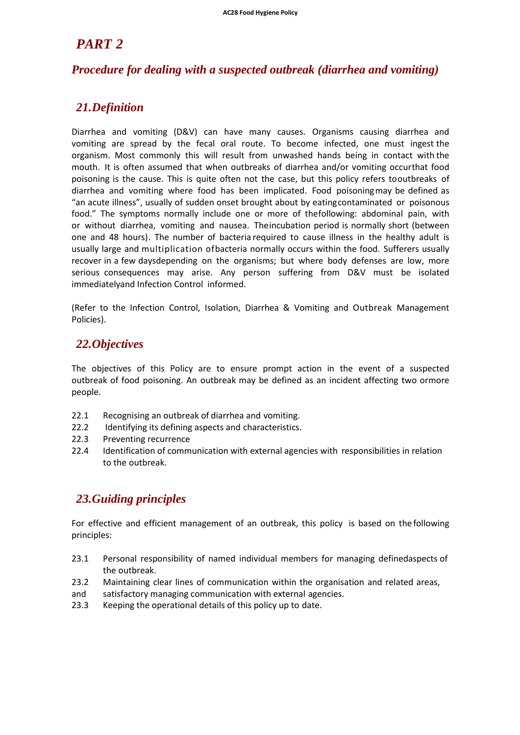## *PART 2*

## *Procedure for dealing with a suspected outbreak (diarrhea and vomiting)*

## <span id="page-12-0"></span>*21.Definition*

Diarrhea and vomiting (D&V) can have many causes. Organisms causing diarrhea and vomiting are spread by the fecal oral route. To become infected, one must ingest the organism. Most commonly this will result from unwashed hands being in contact with the mouth. It is often assumed that when outbreaks of diarrhea and/or vomiting occurthat food poisoning is the cause. This is quite often not the case, but this policy refers tooutbreaks of diarrhea and vomiting where food has been implicated. Food poisoningmay be defined as "an acute illness", usually of sudden onset brought about by eatingcontaminated or poisonous food." The symptoms normally include one or more of thefollowing: abdominal pain, with or without diarrhea, vomiting and nausea. Theincubation period is normally short (between one and 48 hours). The number of bacteria required to cause illness in the healthy adult is usually large and multiplication ofbacteria normally occurs within the food. Sufferers usually recover in a few daysdepending on the organisms; but where body defenses are low, more serious consequences may arise. Any person suffering from D&V must be isolated immediatelyand Infection Control informed.

(Refer to the Infection Control, Isolation, Diarrhea & Vomiting and Outbreak Management Policies).

## <span id="page-12-1"></span>*22.Objectives*

The objectives of this Policy are to ensure prompt action in the event of a suspected outbreak of food poisoning. An outbreak may be defined as an incident affecting two ormore people.

- 22.1 Recognising an outbreak of diarrhea and vomiting.
- 22.2 Identifying its defining aspects and characteristics.
- 22.3 Preventing recurrence
- 22.4 Identification of communication with external agencies with responsibilities in relation to the outbreak.

## <span id="page-12-2"></span>*23.Guiding principles*

For effective and efficient management of an outbreak, this policy is based on the following principles:

- 23.1 Personal responsibility of named individual members for managing definedaspects of the outbreak.
- 23.2 Maintaining clear lines of communication within the organisation and related areas,
- and satisfactory managing communication with external agencies.
- 23.3 Keeping the operational details of this policy up to date.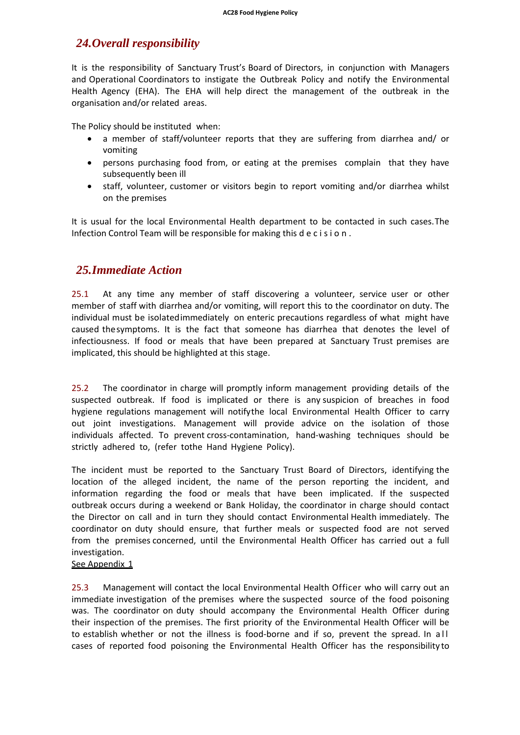## <span id="page-13-0"></span>*24.Overall responsibility*

It is the responsibility of Sanctuary Trust's Board of Directors, in conjunction with Managers and Operational Coordinators to instigate the Outbreak Policy and notify the Environmental Health Agency (EHA). The EHA will help direct the management of the outbreak in the organisation and/or related areas.

The Policy should be instituted when:

- a member of staff/volunteer reports that they are suffering from diarrhea and/ or vomiting
- persons purchasing food from, or eating at the premises complain that they have subsequently been ill
- staff, volunteer, customer or visitors begin to report vomiting and/or diarrhea whilst on the premises

It is usual for the local Environmental Health department to be contacted in such cases.The Infection Control Team will be responsible for making this d e c i s i o n .

## <span id="page-13-1"></span>*25.Immediate Action*

25.1 At any time any member of staff discovering a volunteer, service user or other member of staff with diarrhea and/or vomiting, will report this to the coordinator on duty. The individual must be isolatedimmediately on enteric precautions regardless of what might have caused thesymptoms. It is the fact that someone has diarrhea that denotes the level of infectiousness. If food or meals that have been prepared at Sanctuary Trust premises are implicated, this should be highlighted at this stage.

25.2 The coordinator in charge will promptly inform management providing details of the suspected outbreak. If food is implicated or there is any suspicion of breaches in food hygiene regulations management will notifythe local Environmental Health Officer to carry out joint investigations. Management will provide advice on the isolation of those individuals affected. To prevent cross-contamination, hand-washing techniques should be strictly adhered to, (refer tothe Hand Hygiene Policy).

The incident must be reported to the Sanctuary Trust Board of Directors, identifying the location of the alleged incident, the name of the person reporting the incident, and information regarding the food or meals that have been implicated. If the suspected outbreak occurs during a weekend or Bank Holiday, the coordinator in charge should contact the Director on call and in turn they should contact Environmental Health immediately. The coordinator on duty should ensure, that further meals or suspected food are not served from the premises concerned, until the Environmental Health Officer has carried out a full investigation.

#### See Appendix 1

25.3 Management will contact the local Environmental Health Officer who will carry out an immediate investigation of the premises where the suspected source of the food poisoning was. The coordinator on duty should accompany the Environmental Health Officer during their inspection of the premises. The first priority of the Environmental Health Officer will be to establish whether or not the illness is food-borne and if so, prevent the spread. In all cases of reported food poisoning the Environmental Health Officer has the responsibility to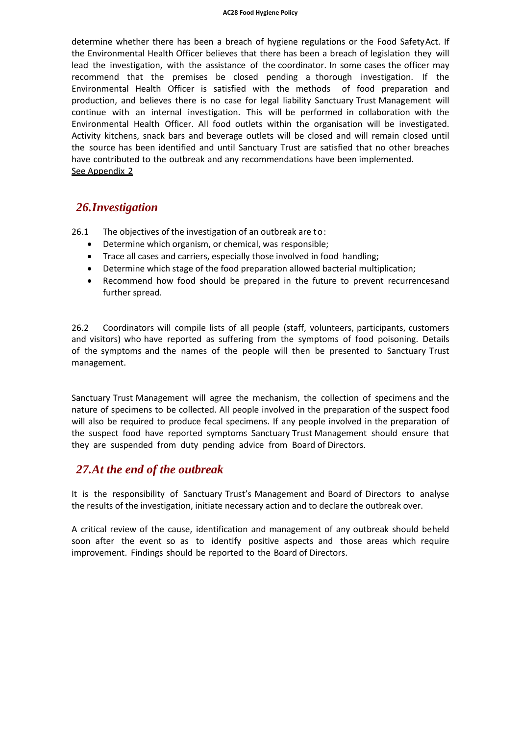determine whether there has been a breach of hygiene regulations or the Food SafetyAct. If the Environmental Health Officer believes that there has been a breach of legislation they will lead the investigation, with the assistance of the coordinator. In some cases the officer may recommend that the premises be closed pending a thorough investigation. If the Environmental Health Officer is satisfied with the methods of food preparation and production, and believes there is no case for legal liability Sanctuary Trust Management will continue with an internal investigation. This will be performed in collaboration with the Environmental Health Officer. All food outlets within the organisation will be investigated. Activity kitchens, snack bars and beverage outlets will be closed and will remain closed until the source has been identified and until Sanctuary Trust are satisfied that no other breaches have contributed to the outbreak and any recommendations have been implemented. See Appendix 2

### <span id="page-14-0"></span>*26.Investigation*

26.1 The objectives of the investigation of an outbreak are to:

- Determine which organism, or chemical, was responsible;
- Trace all cases and carriers, especially those involved in food handling;
- Determine which stage of the food preparation allowed bacterial multiplication;
- Recommend how food should be prepared in the future to prevent recurrencesand further spread.

26.2 Coordinators will compile lists of all people (staff, volunteers, participants, customers and visitors) who have reported as suffering from the symptoms of food poisoning. Details of the symptoms and the names of the people will then be presented to Sanctuary Trust management.

Sanctuary Trust Management will agree the mechanism, the collection of specimens and the nature of specimens to be collected. All people involved in the preparation of the suspect food will also be required to produce fecal specimens. If any people involved in the preparation of the suspect food have reported symptoms Sanctuary Trust Management should ensure that they are suspended from duty pending advice from Board of Directors.

#### *27.At the end of the outbreak*

It is the responsibility of Sanctuary Trust's Management and Board of Directors to analyse the results of the investigation, initiate necessary action and to declare the outbreak over.

A critical review of the cause, identification and management of any outbreak should beheld soon after the event so as to identify positive aspects and those areas which require improvement. Findings should be reported to the Board of Directors.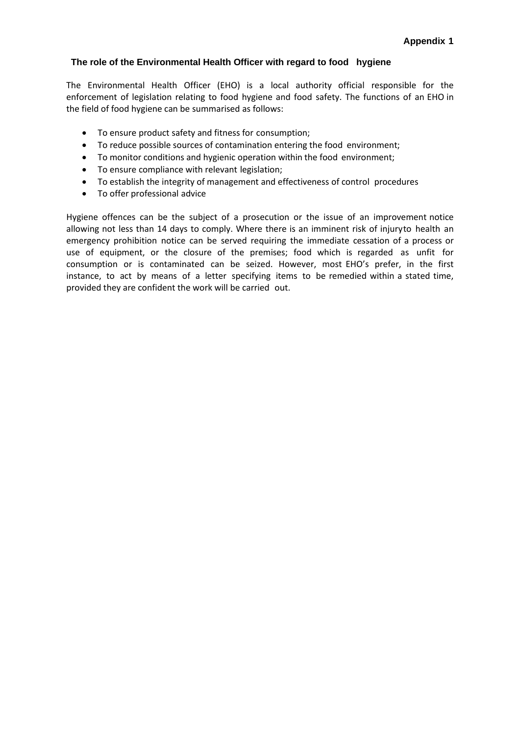#### **The role of the Environmental Health Officer with regard to food hygiene**

The Environmental Health Officer (EHO) is a local authority official responsible for the enforcement of legislation relating to food hygiene and food safety. The functions of an EHO in the field of food hygiene can be summarised as follows:

- To ensure product safety and fitness for consumption;
- To reduce possible sources of contamination entering the food environment;
- To monitor conditions and hygienic operation within the food environment;
- To ensure compliance with relevant legislation;
- To establish the integrity of management and effectiveness of control procedures
- To offer professional advice

Hygiene offences can be the subject of a prosecution or the issue of an improvement notice allowing not less than 14 days to comply. Where there is an imminent risk of injuryto health an emergency prohibition notice can be served requiring the immediate cessation of a process or use of equipment, or the closure of the premises; food which is regarded as unfit for consumption or is contaminated can be seized. However, most EHO's prefer, in the first instance, to act by means of a letter specifying items to be remedied within a stated time, provided they are confident the work will be carried out.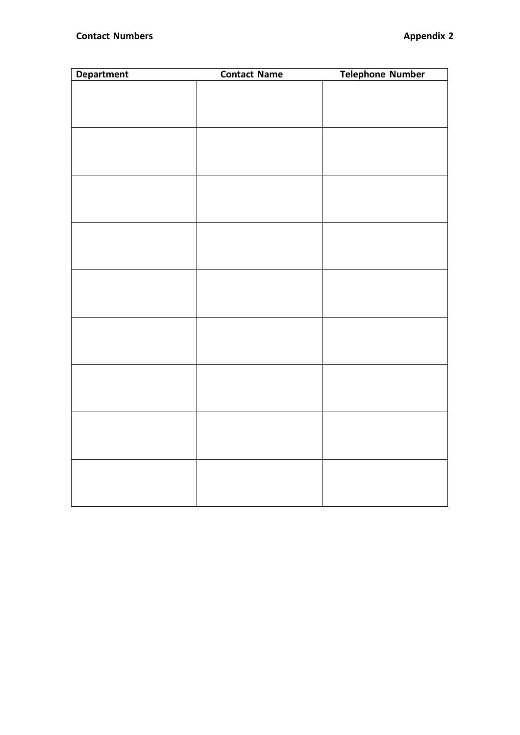| <b>Department</b> | <b>Contact Name</b> | <b>Telephone Number</b> |
|-------------------|---------------------|-------------------------|
|                   |                     |                         |
|                   |                     |                         |
|                   |                     |                         |
|                   |                     |                         |
|                   |                     |                         |
|                   |                     |                         |
|                   |                     |                         |
|                   |                     |                         |
|                   |                     |                         |
|                   |                     |                         |
|                   |                     |                         |
|                   |                     |                         |
|                   |                     |                         |
|                   |                     |                         |
|                   |                     |                         |
|                   |                     |                         |
|                   |                     |                         |
|                   |                     |                         |
|                   |                     |                         |
|                   |                     |                         |
|                   |                     |                         |
|                   |                     |                         |
|                   |                     |                         |
|                   |                     |                         |
|                   |                     |                         |
|                   |                     |                         |
|                   |                     |                         |
|                   |                     |                         |
|                   |                     |                         |
|                   |                     |                         |
|                   |                     |                         |
|                   |                     |                         |
|                   |                     |                         |